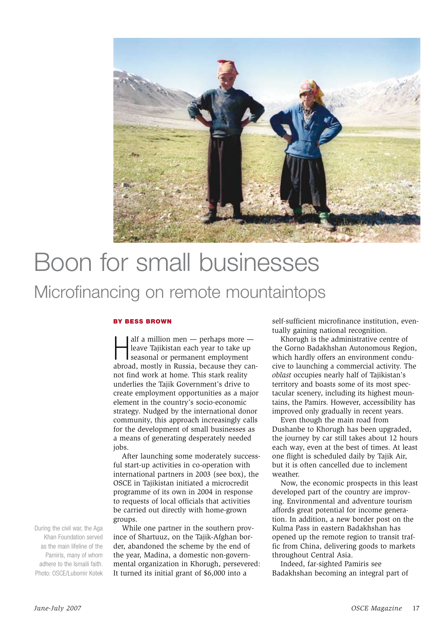

## Boon for small businesses Microfinancing on remote mountaintops

### By Bess Brown

alf a million men — perhaps more —<br>leave Tajikistan each year to take up<br>seasonal or permanent employment<br>abroad, mostly in Russia, because they canalf a million men — perhaps more leave Tajikistan each year to take up seasonal or permanent employment not find work at home. This stark reality underlies the Tajik Government's drive to create employment opportunities as a major element in the country's socio-economic strategy. Nudged by the international donor community, this approach increasingly calls for the development of small businesses as a means of generating desperately needed jobs.

After launching some moderately successful start-up activities in co-operation with international partners in 2003 (see box), the OSCE in Tajikistan initiated a microcredit programme of its own in 2004 in response to requests of local officials that activities be carried out directly with home-grown groups.

While one partner in the southern province of Shartuuz, on the Tajik-Afghan border, abandoned the scheme by the end of the year, Madina, a domestic non-governmental organization in Khorugh, persevered: It turned its initial grant of \$6,000 into a

self-sufficient microfinance institution, eventually gaining national recognition.

Khorugh is the administrative centre of the Gorno Badakhshan Autonomous Region, which hardly offers an environment conducive to launching a commercial activity. The *oblast* occupies nearly half of Tajikistan's territory and boasts some of its most spectacular scenery, including its highest mountains, the Pamirs. However, accessibility has improved only gradually in recent years.

Even though the main road from Dushanbe to Khorugh has been upgraded, the journey by car still takes about 12 hours each way, even at the best of times. At least one flight is scheduled daily by Tajik Air, but it is often cancelled due to inclement weather.

Now, the economic prospects in this least developed part of the country are improving. Environmental and adventure tourism affords great potential for income generation. In addition, a new border post on the Kulma Pass in eastern Badakhshan has opened up the remote region to transit traffic from China, delivering goods to markets throughout Central Asia.

Indeed, far-sighted Pamiris see Badakhshan becoming an integral part of

During the civil war, the Aga Khan Foundation served as the main lifeline of the Pamiris, many of whom adhere to the Ismaili faith. Photo: OSCE/Lubomir Kotek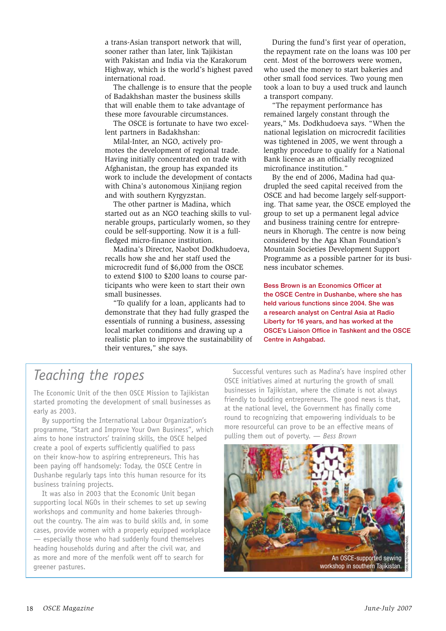a trans-Asian transport network that will, sooner rather than later, link Tajikistan with Pakistan and India via the Karakorum Highway, which is the world's highest paved international road.

The challenge is to ensure that the people of Badakhshan master the business skills that will enable them to take advantage of these more favourable circumstances.

The OSCE is fortunate to have two excellent partners in Badakhshan:

Milal-Inter, an NGO, actively promotes the development of regional trade. Having initially concentrated on trade with Afghanistan, the group has expanded its work to include the development of contacts with China's autonomous Xinjiang region and with southern Kyrgyzstan.

The other partner is Madina, which started out as an NGO teaching skills to vulnerable groups, particularly women, so they could be self-supporting. Now it is a fullfledged micro-finance institution.

Madina's Director, Naobot Dodkhudoeva, recalls how she and her staff used the microcredit fund of \$6,000 from the OSCE to extend \$100 to \$200 loans to course participants who were keen to start their own small businesses.

"To qualify for a loan, applicants had to demonstrate that they had fully grasped the essentials of running a business, assessing local market conditions and drawing up a realistic plan to improve the sustainability of their ventures," she says.

During the fund's first year of operation, the repayment rate on the loans was 100 per cent. Most of the borrowers were women, who used the money to start bakeries and other small food services. Two young men took a loan to buy a used truck and launch a transport company.

"The repayment performance has remained largely constant through the years," Ms. Dodkhudoeva says. "When the national legislation on microcredit facilities was tightened in 2005, we went through a lengthy procedure to qualify for a National Bank licence as an officially recognized microfinance institution."

By the end of 2006, Madina had quadrupled the seed capital received from the OSCE and had become largely self-supporting. That same year, the OSCE employed the group to set up a permanent legal advice and business training centre for entrepreneurs in Khorugh. The centre is now being considered by the Aga Khan Foundation's Mountain Societies Development Support Programme as a possible partner for its business incubator schemes.

Bess Brown is an Economics Officer at the OSCE Centre in Dushanbe, where she has held various functions since 2004. She was a research analyst on Central Asia at Radio Liberty for 16 years, and has worked at the OSCE's Liaison Office in Tashkent and the OSCE Centre in Ashgabad.

## *Teaching the ropes*

The Economic Unit of the then OSCE Mission to Tajikistan started promoting the development of small businesses as early as 2003.

By supporting the International Labour Organization's programme, "Start and Improve Your Own Business", which aims to hone instructors' training skills, the OSCE helped create a pool of experts sufficiently qualified to pass on their know-how to aspiring entrepreneurs. This has been paying off handsomely: Today, the OSCE Centre in Dushanbe regularly taps into this human resource for its business training projects.

It was also in 2003 that the Economic Unit began supporting local NGOs in their schemes to set up sewing workshops and community and home bakeries throughout the country. The aim was to build skills and, in some cases, provide women with a properly equipped workplace — especially those who had suddenly found themselves heading households during and after the civil war, and as more and more of the menfolk went off to search for greener pastures.

Successful ventures such as Madina's have inspired other OSCE initiatives aimed at nurturing the growth of small businesses in Tajikistan, where the climate is not always friendly to budding entrepreneurs. The good news is that, at the national level, the Government has finally come round to recognizing that empowering individuals to be more resourceful can prove to be an effective means of pulling them out of poverty. — *Bess Brown*

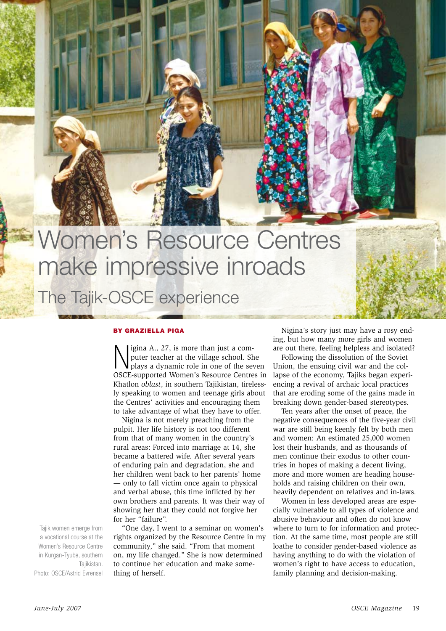# Women's Resource Centres make impressive inroads The Tajik-OSCE experience

### By Graz iella Piga

Nigina A., 27, is more than just a computer teacher at the village school. She plays a dynamic role in one of the seven OSCE-supported Women's Resource Centres in igina A., 27, is more than just a computer teacher at the village school. She plays a dynamic role in one of the seven Khatlon *oblast*, in southern Tajikistan, tirelessly speaking to women and teenage girls about the Centres' activities and encouraging them to take advantage of what they have to offer.

Nigina is not merely preaching from the pulpit. Her life history is not too different from that of many women in the country's rural areas: Forced into marriage at 14, she became a battered wife. After several years of enduring pain and degradation, she and her children went back to her parents' home — only to fall victim once again to physical and verbal abuse, this time inflicted by her own brothers and parents. It was their way of showing her that they could not forgive her for her "failure".

"One day, I went to a seminar on women's rights organized by the Resource Centre in my community," she said. "From that moment on, my life changed." She is now determined to continue her education and make something of herself.

Nigina's story just may have a rosy ending, but how many more girls and women are out there, feeling helpless and isolated?

Following the dissolution of the Soviet Union, the ensuing civil war and the collapse of the economy, Tajiks began experiencing a revival of archaic local practices that are eroding some of the gains made in breaking down gender-based stereotypes.

Ten years after the onset of peace, the negative consequences of the five-year civil war are still being keenly felt by both men and women: An estimated 25,000 women lost their husbands, and as thousands of men continue their exodus to other countries in hopes of making a decent living, more and more women are heading households and raising children on their own, heavily dependent on relatives and in-laws.

Women in less developed areas are especially vulnerable to all types of violence and abusive behaviour and often do not know where to turn to for information and protection. At the same time, most people are still loathe to consider gender-based violence as having anything to do with the violation of women's right to have access to education, family planning and decision-making.

Tajik women emerge from a vocational course at the Women's Resource Centre in Kurgan-Tyube, southern Tajikistan. Photo: OSCE/Astrid Evrensel